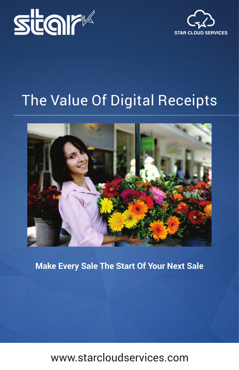



# The Value Of Digital Receipts



**Make Every Sale The Start Of Your Next Sale**

## www.starcloudservices.com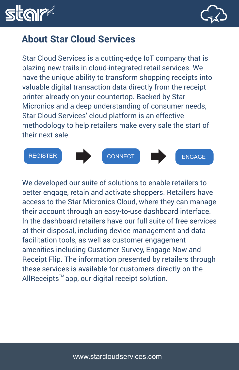



#### **About Star Cloud Services**

Star Cloud Services is a cutting-edge IoT company that isblazing new trails in cloud-integrated retail services. We have the unique ability to transform shopping receipts intovaluable digital transaction data directly from the receiptprinter already on your countertop. Backed by StarMicronics and a deep understanding of consumer needs, Star Cloud Services' cloud platform is an effective methodology to help retailers make every sale the start oftheir next sale.



We developed our suite of solutions to enable retailers to better engage, retain and activate shoppers. Retailers have access to the Star Micronics Cloud, where they can managetheir account through an easy-to-use dashboard interface. In the dashboard retailers have our full suite of free servicesat their disposal, including device management and datafacilitation tools, as well as customer engagement amenities including Customer Survey, Engage Now and Receipt Flip. The information presented by retailers throughthese services is available for customers directly on theAllReceipts $^{\text{\tiny{\textsf{TM}}}}$ app, our digital receipt solution.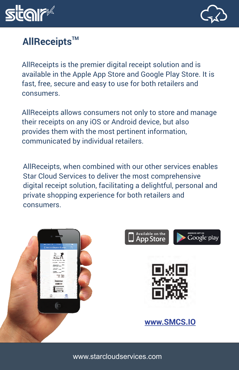



#### **AllReceiptsTM**

AllReceipts is the premier digital receipt solution and is available in the Apple App Store and Google Play Store. It isfast, free, secure and easy to use for both retailers andconsumers.

AllReceipts allows consumers not only to store and managetheir receipts on any iOS or Android device, but also provides them with the most pertinent information, communicated by individual retailers.

AllReceipts, when combined with our other services enablesStar Cloud Services to deliver the most comprehensive digital receipt solution, facilitating a delightful, personal andprivate shopping experience for both retailers andconsumers.



www.starcloudservices.com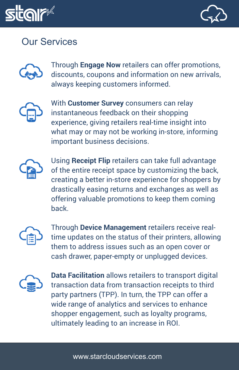



#### Our Services



Through **Engage Now** retailers can offer promotions, discounts, coupons and information on new arrivals, always keeping customers informed.



With **Customer Survey** consumers can relay instantaneous feedback on their shopping experience, giving retailers real-time insight into what may or may not be working in-store, informingimportant business decisions.



Using **Receipt Flip** retailers can take full advantage of the entire receipt space by customizing the back, creating a better in-store experience for shoppers by drastically easing returns and exchanges as well as offering valuable promotions to keep them comingback.



Through **Device Management** retailers receive realtime updates on the status of their printers, allowingthem to address issues such as an open cover orcash drawer, paper-empty or unplugged devices.



**Data Facilitation** allows retailers to transport digital transaction data from transaction receipts to thirdparty partners (TPP). In turn, the TPP can offer a wide range of analytics and services to enhance shopper engagement, such as loyalty programs, ultimately leading to an increase in ROI.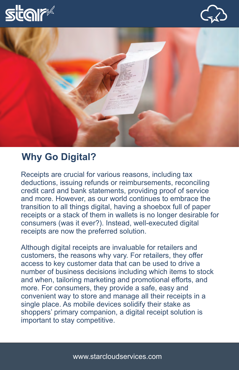



#### **Why Go Digital?**

Receipts are crucial for various reasons, including tax deductions, issuing refunds or reimbursements, reconciling credit card and bank statements, providing proof of service and more. However, as our world continues to embrace the transition to all things digital, having a shoebox full of paper receipts or a stack of them in wallets is no longer desirable forconsumers (was it ever?). Instead, well-executed digitalreceipts are now the preferred solution.

Although digital receipts are invaluable for retailers and customers, the reasons why vary. For retailers, they offer access to key customer data that can be used to drive a number of business decisions including which items to stockand when, tailoring marketing and promotional efforts, andmore. For consumers, they provide a safe, easy and convenient way to store and manage all their receipts in asingle place. As mobile devices solidify their stake as shoppers' primary companion, a digital receipt solution isimportant to stay competitive.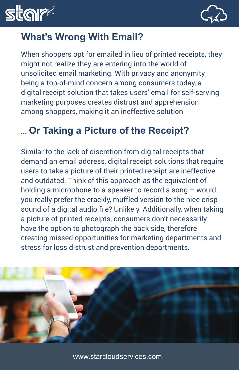



#### **What's Wrong With Email?**

When shoppers opt for emailed in lieu of printed receipts, theymight not realize they are entering into the world of unsolicited email marketing. With privacy and anonymity being a top-of-mind concern among consumers today, a digital receipt solution that takes users' email for self-servingmarketing purposes creates distrust and apprehensionamong shoppers, making it an ineffective solution.

### **... Or Taking a Picture of the Receipt?**

Similar to the lack of discretion from digital receipts that demand an email address, digital receipt solutions that requireusers to take a picture of their printed receipt are ineffectiveand outdated. Think of this approach as the equivalent ofholding a microphone to a speaker to record a song – would you really prefer the crackly, muffled version to the nice crisp sound of a digital audio file? Unlikely. Additionally, when takinga picture of printed receipts, consumers don't necessarilyhave the option to photograph the back side, therefore creating missed opportunities for marketing departments andstress for loss distrust and prevention departments.

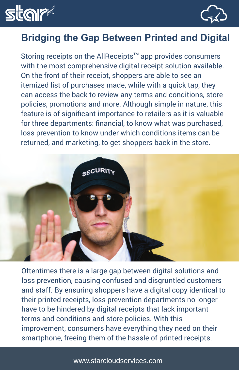



#### **Bridging the Gap Between Printed and Digital**

Storing receipts on the AllReceipts $^{\text{\tiny{\textsf{TM}}}}$  app provides consumers with the most comprehensive digital receipt solution available.On the front of their receipt, shoppers are able to see an itemized list of purchases made, while with a quick tap, they can access the back to review any terms and conditions, store policies, promotions and more. Although simple in nature, this feature is of significant importance to retailers as it is valuable for three departments: financial, to know what was purchased, loss prevention to know under which conditions items can bereturned, and marketing, to get shoppers back in the store.



Oftentimes there is a large gap between digital solutions and loss prevention, causing confused and disgruntled customers and staff. By ensuring shoppers have a digital copy identical totheir printed receipts, loss prevention departments no longerhave to be hindered by digital receipts that lack importantterms and conditions and store policies. With this improvement, consumers have everything they need on theirsmartphone, freeing them of the hassle of printed receipts.

www.starcloudservices.com